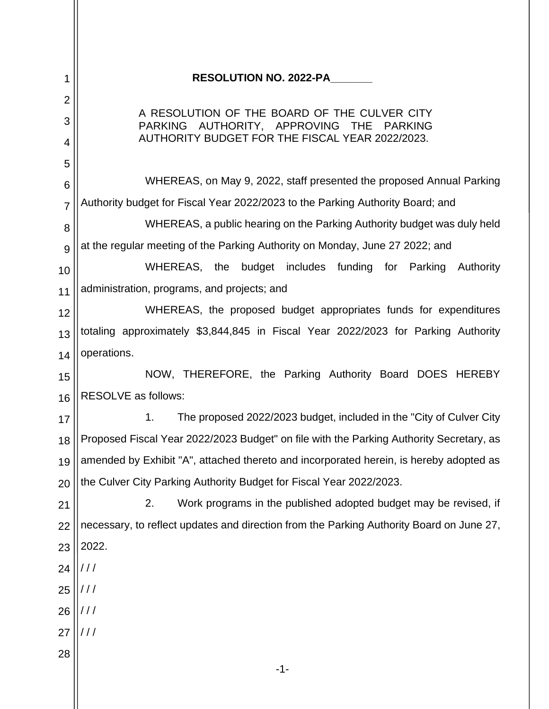| $\mathbf 1$    | <b>RESOLUTION NO. 2022-PA</b>                                                                      |
|----------------|----------------------------------------------------------------------------------------------------|
| $\overline{2}$ |                                                                                                    |
| 3              | A RESOLUTION OF THE BOARD OF THE CULVER CITY<br><b>PARKING</b><br>AUTHORITY, APPROVING THE PARKING |
| 4              | AUTHORITY BUDGET FOR THE FISCAL YEAR 2022/2023.                                                    |
| 5              |                                                                                                    |
| 6              | WHEREAS, on May 9, 2022, staff presented the proposed Annual Parking                               |
| $\overline{7}$ | Authority budget for Fiscal Year 2022/2023 to the Parking Authority Board; and                     |
| 8              | WHEREAS, a public hearing on the Parking Authority budget was duly held                            |
| 9              | at the regular meeting of the Parking Authority on Monday, June 27 2022; and                       |
| 10             | WHEREAS, the budget includes funding for Parking Authority                                         |
| 11             | administration, programs, and projects; and                                                        |
| 12             | WHEREAS, the proposed budget appropriates funds for expenditures                                   |
| 13             | totaling approximately \$3,844,845 in Fiscal Year 2022/2023 for Parking Authority                  |
| 14             | operations.                                                                                        |
| 15             | NOW, THEREFORE, the Parking Authority Board DOES HEREBY                                            |
| 16             | <b>RESOLVE</b> as follows:                                                                         |
| 17             | 1.<br>The proposed 2022/2023 budget, included in the "City of Culver City"                         |
| 18             | Proposed Fiscal Year 2022/2023 Budget" on file with the Parking Authority Secretary, as            |
| 19             | amended by Exhibit "A", attached thereto and incorporated herein, is hereby adopted as             |
| 20             | the Culver City Parking Authority Budget for Fiscal Year 2022/2023.                                |
| 21             | Work programs in the published adopted budget may be revised, if<br>2.                             |
| 22             | necessary, to reflect updates and direction from the Parking Authority Board on June 27,           |
| 23             | 2022.                                                                                              |
| 24             | ///                                                                                                |
| 25             | ///                                                                                                |
| 26             | ///                                                                                                |
| 27             | ///                                                                                                |
| 28             |                                                                                                    |
|                | $-1-$                                                                                              |